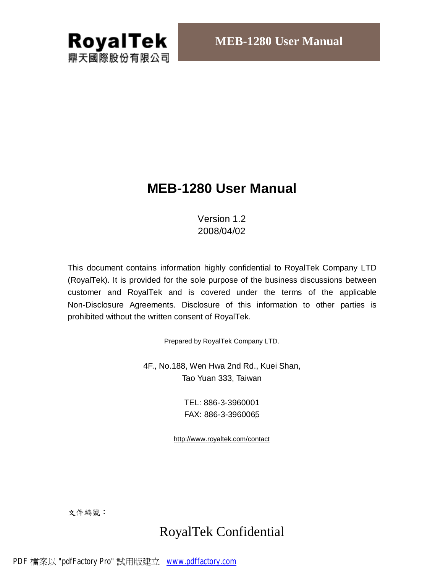

# **MEB-1280 User Manual**

## Version 1.2 2008/04/02

This document contains information highly confidential to RoyalTek Company LTD (RoyalTek). It is provided for the sole purpose of the business discussions between customer and RoyalTek and is covered under the terms of the applicable Non-Disclosure Agreements. Disclosure of this information to other parties is prohibited without the written consent of RoyalTek.

Prepared by RoyalTek Company LTD.

4F., No.188, Wen Hwa 2nd Rd., Kuei Shan, Tao Yuan 333, Taiwan

> TEL: 886-3-3960001 FAX: 886-3-3960065

<http://www.royaltek.com/contact>

文件編號:

# RoyalTek Confidential

PDF 檔案以 "pdfFactory Pro" 試用版建立 [www.pdffactory.com](http://www.pdffactory.com)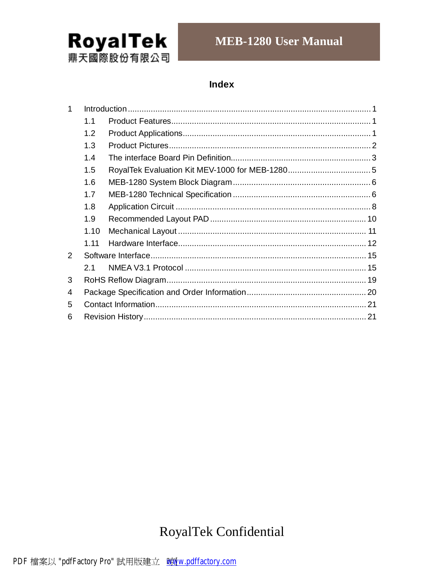

# **MEB-1280 User Manual**

## **Index**

| 1             |      |  |  |  |  |  |  |
|---------------|------|--|--|--|--|--|--|
|               | 1.1  |  |  |  |  |  |  |
|               | 1.2  |  |  |  |  |  |  |
|               | 1.3  |  |  |  |  |  |  |
|               | 1.4  |  |  |  |  |  |  |
|               | 1.5  |  |  |  |  |  |  |
|               | 1.6  |  |  |  |  |  |  |
|               | 1.7  |  |  |  |  |  |  |
|               | 1.8  |  |  |  |  |  |  |
|               | 1.9  |  |  |  |  |  |  |
|               | 1.10 |  |  |  |  |  |  |
|               | 1.11 |  |  |  |  |  |  |
| $\mathcal{P}$ |      |  |  |  |  |  |  |
|               | 2.1  |  |  |  |  |  |  |
| 3             |      |  |  |  |  |  |  |
| 4             |      |  |  |  |  |  |  |
| 5             |      |  |  |  |  |  |  |
| 6             |      |  |  |  |  |  |  |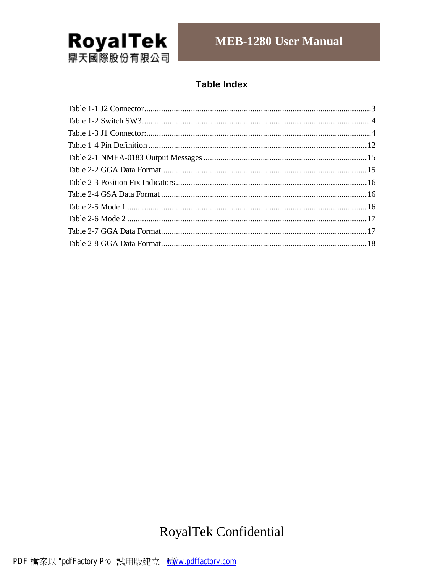

## **Table Index**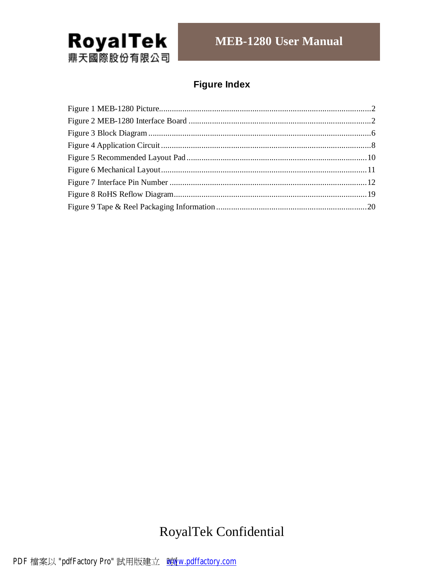

# **Figure Index**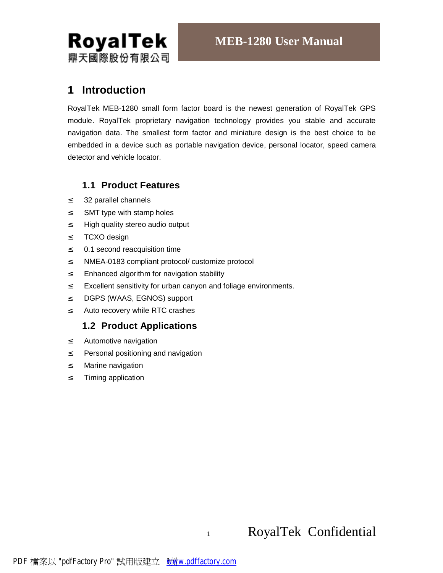

## **1 Introduction**

RoyalTek MEB-1280 small form factor board is the newest generation of RoyalTek GPS module. RoyalTek proprietary navigation technology provides you stable and accurate navigation data. The smallest form factor and miniature design is the best choice to be embedded in a device such as portable navigation device, personal locator, speed camera detector and vehicle locator.

## **1.1 Product Features**

- ² 32 parallel channels
- ² SMT type with stamp holes
- <sup>2</sup> High quality stereo audio output
- ² TCXO design
- ² 0.1 second reacquisition time
- ² NMEA-0183 compliant protocol/ customize protocol
- <sup>2</sup> Enhanced algorithm for navigation stability
- <sup>2</sup> Excellent sensitivity for urban canyon and foliage environments.
- ² DGPS (WAAS, EGNOS) support
- ² Auto recovery while RTC crashes

## **1.2 Product Applications**

- ² Automotive navigation
- <sup>2</sup> Personal positioning and navigation
- ² Marine navigation
- ² Timing application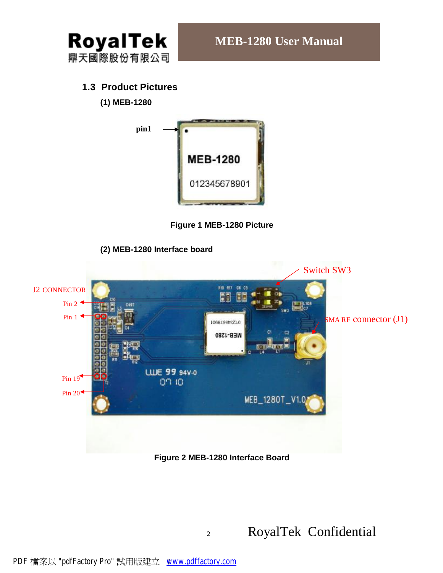

## **1.3 Product Pictures**

**(1) MEB-1280**



**Figure 1 MEB-1280 Picture** 



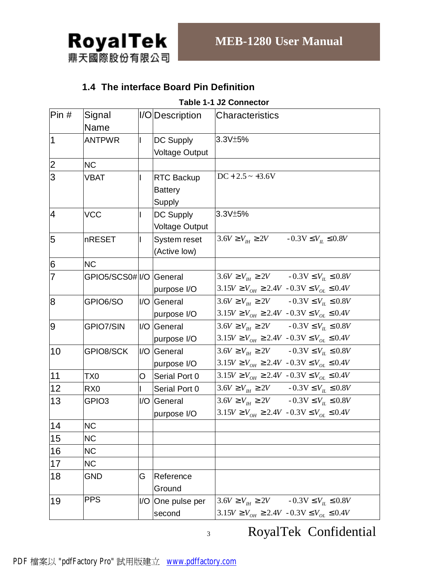

## **1.4 The interface Board Pin Definition**

#### **Table 1-1 J2 Connector**

| Pri            | Signal<br><b>Name</b>   |    | I/ODescription                                | Characteristics                                                                                                              |
|----------------|-------------------------|----|-----------------------------------------------|------------------------------------------------------------------------------------------------------------------------------|
| $\overline{1}$ | <b>ANTPWR</b>           |    | <b>DC Supply</b><br><b>Voltage Output</b>     | 3.3V±5%                                                                                                                      |
| $\overline{2}$ | <b>NC</b>               |    |                                               |                                                                                                                              |
| $\overline{3}$ | <b>VBAT</b>             |    | <b>RTC Backup</b><br><b>Battery</b><br>Supply | $DC + 2.5 \sim +3.6V$                                                                                                        |
| 4              | <b>VCC</b>              |    | <b>DC Supply</b><br><b>Voltage Output</b>     | 3.3V±5%                                                                                                                      |
| 5              | nRESET                  |    | System reset<br>(Active low)                  | $3.6V \ge V_H \ge 2V$ $-0.3V \le V_H \le 0.8V$                                                                               |
| 6              | <b>NC</b>               |    |                                               |                                                                                                                              |
| 7              | GPIO5/SCS0# I/O General |    | purpose I/O                                   | $3.6V \ge V_{\text{th}} \ge 2V$ $-0.3V \le V_{\text{th}} \le 0.8V$<br>$3.15V \ge V_{OH} \ge 2.4V - 0.3V \le V_{OL} \le 0.4V$ |
| 8              | GPIO6/SO                |    | I/O General<br>purpose I/O                    | $3.6V \ge V_{\text{th}} \ge 2V$ $-0.3V \le V_{\text{th}} \le 0.8V$<br>$3.15V \ge V_{OH} \ge 2.4V - 0.3V \le V_{OL} \le 0.4V$ |
| 9              | GPIO7/SIN               |    | I/O General<br>purpose I/O                    | $3.6V \ge V_{th} \ge 2V$ $-0.3V \le V_{th} \le 0.8V$<br>$3.15V \ge V_{OH} \ge 2.4V - 0.3V \le V_{OL} \le 0.4V$               |
| 10             | GPIO8/SCK               |    | I/O General<br>purpose I/O                    | $3.6V \ge V_{th} \ge 2V$ $-0.3V \le V_{th} \le 0.8V$<br>$3.15V \ge V_{OH} \ge 2.4V - 0.3V \le V_{OL} \le 0.4V$               |
| 11             | TX0                     | O. | Serial Port 0                                 | $3.15V \ge V_{OH} \ge 2.4V - 0.3V \le V_{OL} \le 0.4V$                                                                       |
| 12             | RX <sub>0</sub>         |    | Serial Port 0                                 | $3.6V \ge V_{\text{th}} \ge 2V$ $-0.3V \le V_{\text{th}} \le 0.8V$                                                           |
| 13             | GPIO <sub>3</sub>       |    | I/O General<br>purpose I/O                    | $3.6V \ge V_{\text{H}} \ge 2V$ $-0.3V \le V_{\text{L}} \le 0.8V$<br>$3.15V \ge V_{OH} \ge 2.4V - 0.3V \le V_{OL} \le 0.4V$   |
| 14             | <b>NC</b>               |    |                                               |                                                                                                                              |
| 15             | <b>NC</b>               |    |                                               |                                                                                                                              |
| 16             | <b>NC</b>               |    |                                               |                                                                                                                              |
| 17             | <b>NC</b>               |    |                                               |                                                                                                                              |
| 18             | <b>GND</b>              | G  | Reference<br>Ground                           |                                                                                                                              |
| 19             | <b>PPS</b>              |    | I/O One pulse per<br>second                   | $3.6V \ge V_{th} \ge 2V$ $-0.3V \le V_{th} \le 0.8V$<br>$3.15V \ge V_{OH} \ge 2.4V - 0.3V \le V_{OL} \le 0.4V$               |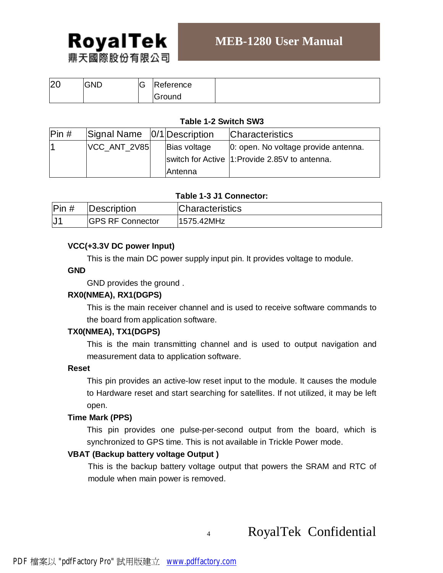

## **MEB-1280 User Manual**

| ഥറ<br>IZ U | <b>GND</b> | v | Reference |  |
|------------|------------|---|-----------|--|
|            |            |   | Ground    |  |

### **Table 1-2 Switch SW3**

| $\mathsf{Pin}~\#$ | Signal Name   0/1   Description |                 | <b>Characteristics</b>                         |
|-------------------|---------------------------------|-----------------|------------------------------------------------|
|                   | VCC ANT 2V85                    | Bias voltage    | 0: open. No voltage provide antenna.           |
|                   |                                 |                 | switch for Active 1: Provide 2.85V to antenna. |
|                   |                                 | <b>IAntenna</b> |                                                |

## **Table 1-3 J1 Connector:**

| Pin# | Description             | <b>Characteristics</b> |
|------|-------------------------|------------------------|
|      | <b>GPS RF Connector</b> | 1575.42MHz             |

## **VCC(+3.3V DC power Input)**

This is the main DC power supply input pin. It provides voltage to module.

### **GND**

GND provides the ground .

## **RX0(NMEA), RX1(DGPS)**

This is the main receiver channel and is used to receive software commands to the board from application software.

### **TX0(NMEA), TX1(DGPS)**

This is the main transmitting channel and is used to output navigation and measurement data to application software.

### **Reset**

This pin provides an active-low reset input to the module. It causes the module to Hardware reset and start searching for satellites. If not utilized, it may be left open.

### **Time Mark (PPS)**

This pin provides one pulse-per-second output from the board, which is synchronized to GPS time. This is not available in Trickle Power mode.

### **VBAT (Backup battery voltage Output )**

This is the backup battery voltage output that powers the SRAM and RTC of module when main power is removed.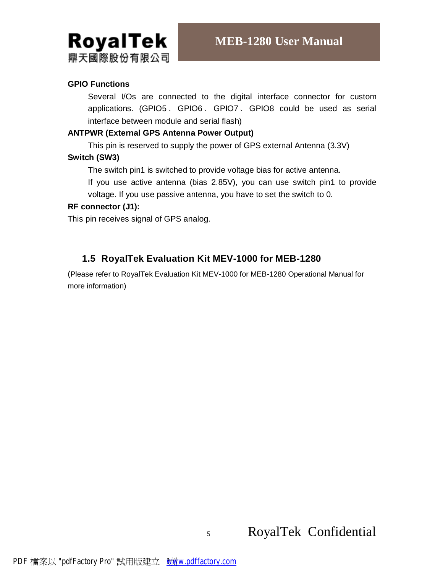

## **GPIO Functions**

Several I/Os are connected to the digital interface connector for custom applications. (GPIO5 、 GPIO6 、 GPIO7 、GPIO8 could be used as serial interface between module and serial flash)

## **ANTPWR (External GPS Antenna Power Output)**

This pin is reserved to supply the power of GPS external Antenna (3.3V)

### **Switch (SW3)**

The switch pin1 is switched to provide voltage bias for active antenna.

If you use active antenna (bias 2.85V), you can use switch pin1 to provide voltage. If you use passive antenna, you have to set the switch to 0.

### **RF connector (J1):**

This pin receives signal of GPS analog.

## **1.5 RoyalTek Evaluation Kit MEV-1000 for MEB-1280**

(Please refer to RoyalTek Evaluation Kit MEV-1000 for MEB-1280 Operational Manual for more information)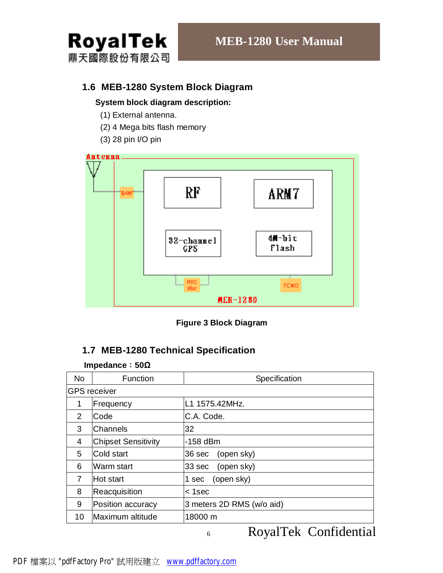

## **1.6 MEB-1280 System Block Diagram**

## **System block diagram description:**

- (1) External antenna.
- (2) 4 Mega bits flash memory
- (3) 28 pin I/O pin



**Figure 3 Block Diagram**

## **1.7 MEB-1280 Technical Specification**

#### **Impedance**:**50Ω**

| <b>No</b> | Function                   | Specification             |  |  |  |  |
|-----------|----------------------------|---------------------------|--|--|--|--|
|           | <b>GPS</b> receiver        |                           |  |  |  |  |
| 1         | Frequency                  | L1 1575.42MHz.            |  |  |  |  |
| 2         | Code                       | C.A. Code.                |  |  |  |  |
| 3         | <b>Channels</b>            | 32                        |  |  |  |  |
| 4         | <b>Chipset Sensitivity</b> | $-158$ dBm                |  |  |  |  |
| 5         | Cold start                 | (open sky)<br>36 sec      |  |  |  |  |
| 6         | Warm start                 | (open sky)<br>33 sec      |  |  |  |  |
| 7         | Hot start                  | (open sky)<br>1 sec       |  |  |  |  |
| 8         | Reacquisition              | $1sec$                    |  |  |  |  |
| 9         | Position accuracy          | 3 meters 2D RMS (w/o aid) |  |  |  |  |
| 10        | Maximum altitude           | 18000 m                   |  |  |  |  |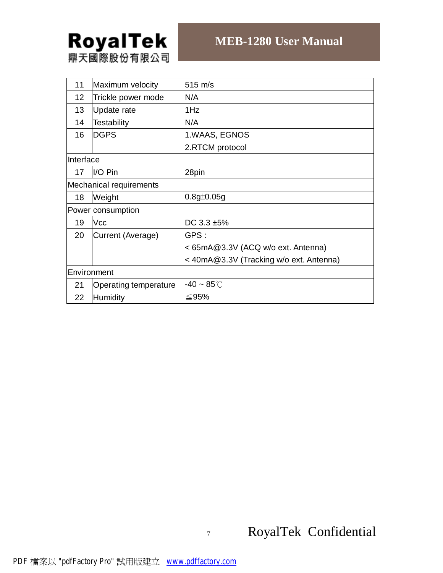| 11              | Maximum velocity        | $515 \text{ m/s}$                       |
|-----------------|-------------------------|-----------------------------------------|
| 12 <sub>2</sub> | Trickle power mode      | N/A                                     |
| 13              | Update rate             | 1Hz                                     |
| 14              | <b>Testability</b>      | N/A                                     |
| 16              | <b>DGPS</b>             | 1.WAAS, EGNOS                           |
|                 |                         | 2.RTCM protocol                         |
| Interface       |                         |                                         |
| 17              | I/O Pin                 | 28pin                                   |
|                 | Mechanical requirements |                                         |
| 18              | Weight                  | $0.8g \pm 0.05g$                        |
|                 | Power consumption       |                                         |
| 19              | <b>Vcc</b>              | DC 3.3 ±5%                              |
| 20              | Current (Average)       | GPS:                                    |
|                 |                         | <65mA@3.3V (ACQ w/o ext. Antenna)       |
|                 |                         | < 40mA@3.3V (Tracking w/o ext. Antenna) |
|                 | Environment             |                                         |
| 21              | Operating temperature   | $-40 \sim 85^{\circ}$ C                 |
| 22              | Humidity                | ≤95%                                    |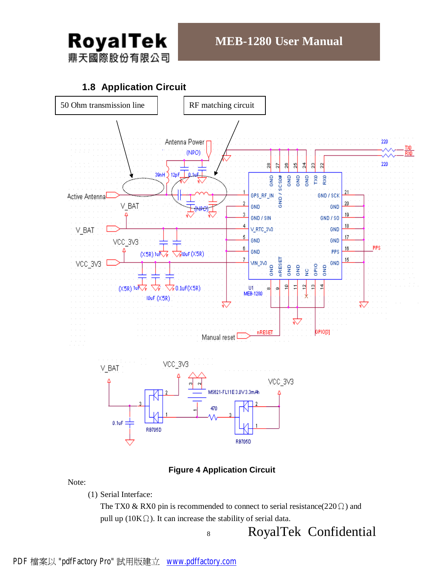

## **1.8 Application Circuit**



## **Figure 4 Application Circuit**

Note:

(1) Serial Interface:

The TX0 & RX0 pin is recommended to connect to serial resistance( $220 \Omega$ ) and pull up (10K $\Omega$ ). It can increase the stability of serial data.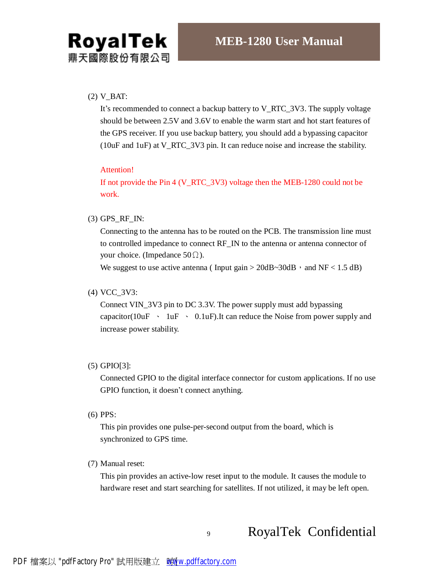### $(2)$  V\_BAT:

It's recommended to connect a backup battery to V\_RTC\_3V3. The supply voltage should be between 2.5V and 3.6V to enable the warm start and hot start features of the GPS receiver. If you use backup battery, you should add a bypassing capacitor (10uF and 1uF) at V\_RTC\_3V3 pin. It can reduce noise and increase the stability.

#### Attention!

If not provide the Pin 4 (V\_RTC\_3V3) voltage then the MEB-1280 could not be work.

#### (3) GPS\_RF\_IN:

Connecting to the antenna has to be routed on the PCB. The transmission line must to controlled impedance to connect RF\_IN to the antenna or antenna connector of your choice. (Impedance  $50\Omega$ ).

We suggest to use active antenna (Input gain  $> 20dB \sim 30dB$ , and NF < 1.5 dB)

#### (4) VCC\_3V3:

Connect VIN\_3V3 pin to DC 3.3V. The power supply must add bypassing capacitor( $10uF \sim 1uF \sim 0.1uF$ ). It can reduce the Noise from power supply and increase power stability.

(5) GPIO[3]:

Connected GPIO to the digital interface connector for custom applications. If no use GPIO function, it doesn't connect anything.

(6) PPS:

This pin provides one pulse-per-second output from the board, which is synchronized to GPS time.

(7) Manual reset:

This pin provides an active-low reset input to the module. It causes the module to hardware reset and start searching for satellites. If not utilized, it may be left open.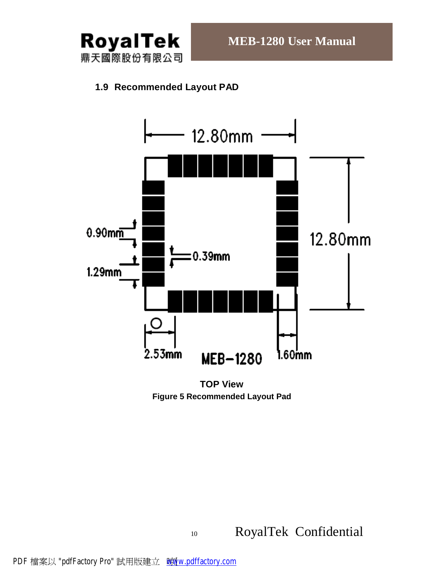

## **1.9 Recommended Layout PAD**



**TOP View Figure 5 Recommended Layout Pad**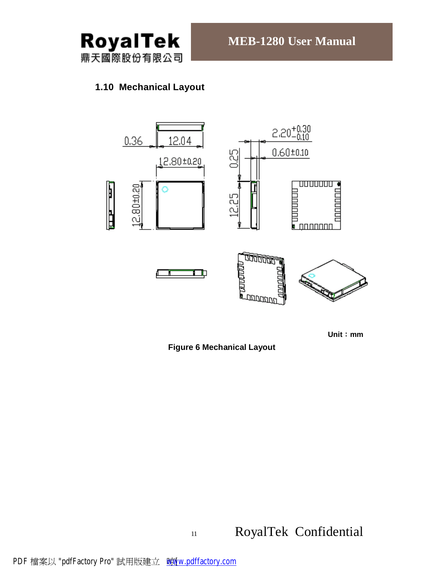

## **1.10 Mechanical Layout**



**Unit**:**mm** 

**Figure 6 Mechanical Layout**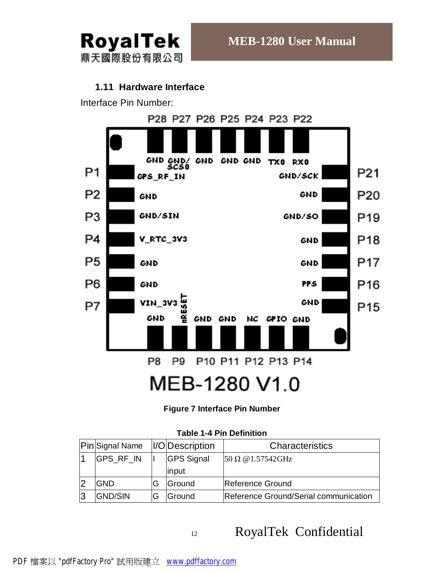

## **1.11 Hardware Interface**

Interface Pin Number:



# MEB-1280 V1.0

## **Figure 7 Interface Pin Number**

## **Table 1-4 Pin Definition**

| <b>Pin</b> Signal Name | <i><b>II/ODescription</b></i> | Characteristics                       |
|------------------------|-------------------------------|---------------------------------------|
| GPS_RF_IN              | <b>GPS Signal</b>             | $50 \Omega \omega 1.57542$ GHz        |
|                        | input                         |                                       |
| <b>GND</b>             | Ground                        | Reference Ground                      |
| <b>GND/SIN</b>         | lGround                       | Reference Ground/Serial communication |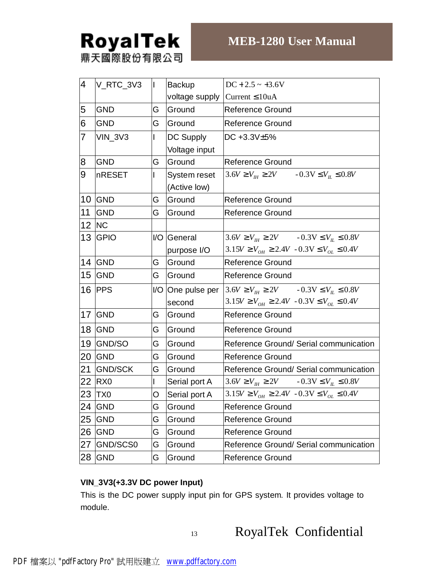| 4               | V_RTC_3V3       | $\mathbf{I}$ | <b>Backup</b>     | $DC + 2.5 \sim +3.6V$                                              |
|-----------------|-----------------|--------------|-------------------|--------------------------------------------------------------------|
|                 |                 |              | voltage supply    | Current $\leq 10$ uA                                               |
| 5               | <b>GND</b>      | G            | Ground            | <b>Reference Ground</b>                                            |
| 6               | <b>GND</b>      | G            | Ground            | <b>Reference Ground</b>                                            |
| $\overline{7}$  | <b>VIN_3V3</b>  |              | DC Supply         | DC +3.3V±5%                                                        |
|                 |                 |              | Voltage input     |                                                                    |
| 8               | <b>GND</b>      | G            | Ground            | <b>Reference Ground</b>                                            |
| 9               | nRESET          | L            | System reset      | $3.6V \ge V_{H} \ge 2V$ $-0.3V \le V_{H} \le 0.8V$                 |
|                 |                 |              | (Active low)      |                                                                    |
| 10              | <b>GND</b>      | G            | Ground            | <b>Reference Ground</b>                                            |
| 11              | <b>GND</b>      | G            | Ground            | <b>Reference Ground</b>                                            |
| 12 <sub>2</sub> | <b>NC</b>       |              |                   |                                                                    |
| 13              | <b>GPIO</b>     |              | I/O General       | $3.6V \ge V_{\text{th}} \ge 2V$ $-0.3V \le V_{\text{th}} \le 0.8V$ |
|                 |                 |              | purpose I/O       | $3.15V \ge V_{OH} \ge 2.4V - 0.3V \le V_{OL} \le 0.4V$             |
| 14              | GND             | G            | Ground            | <b>Reference Ground</b>                                            |
| 15              | <b>GND</b>      | G            | Ground            | <b>Reference Ground</b>                                            |
| 16              | <b>PPS</b>      |              | I/O One pulse per | $3.6V \ge V_{\text{th}} \ge 2V$ $-0.3V \le V_{\text{th}} \le 0.8V$ |
|                 |                 |              | second            | $3.15V \ge V_{OH} \ge 2.4V - 0.3V \le V_{OL} \le 0.4V$             |
| 17              | <b>GND</b>      | G            | Ground            | <b>Reference Ground</b>                                            |
| 18              | <b>GND</b>      | G            | Ground            | <b>Reference Ground</b>                                            |
| 19              | GND/SO          | G            | Ground            | Reference Ground/ Serial communication                             |
| 20              | <b>GND</b>      | G            | Ground            | <b>Reference Ground</b>                                            |
| 21              | <b>GND/SCK</b>  | G            | Ground            | Reference Ground/ Serial communication                             |
| 22              | R <sub>X0</sub> | L            | Serial port A     | $3.6V \ge V_{th} \ge 2V$ $-0.3V \le V_{th} \le 0.8V$               |
| 23              | <b>TX0</b>      | O            | Serial port A     | $3.15V \ge V_{OH} \ge 2.4V - 0.3V \le V_{OL} \le 0.4V$             |
| 24              | <b>GND</b>      | G            | Ground            | <b>Reference Ground</b>                                            |
| 25              | <b>GND</b>      | G            | Ground            | <b>Reference Ground</b>                                            |
| 26              | <b>GND</b>      | G            | Ground            | <b>Reference Ground</b>                                            |
| 27              | GND/SCS0        | G            | Ground            | Reference Ground/ Serial communication                             |
| 28              | <b>GND</b>      | G            | Ground            | <b>Reference Ground</b>                                            |

## **VIN\_3V3(+3.3V DC power Input)**

This is the DC power supply input pin for GPS system. It provides voltage to module.

13 RoyalTek Confidential

PDF 檔案以 "pdfFactory Pro" 試用版建立 [www.pdffactory.com](http://www.pdffactory.com)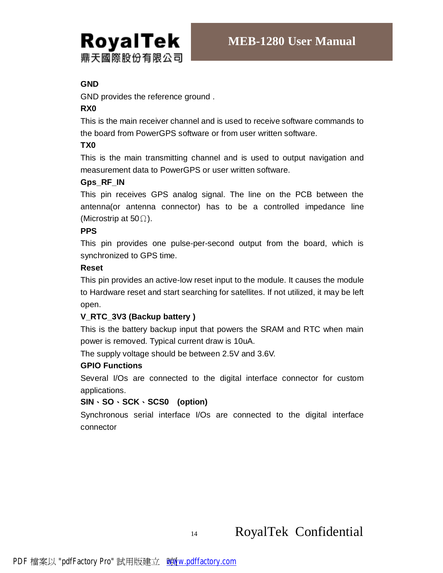

## **GND**

GND provides the reference ground .

## **RX0**

This is the main receiver channel and is used to receive software commands to the board from PowerGPS software or from user written software.

## **TX0**

This is the main transmitting channel and is used to output navigation and measurement data to PowerGPS or user written software.

## **Gps\_RF\_IN**

This pin receives GPS analog signal. The line on the PCB between the antenna(or antenna connector) has to be a controlled impedance line (Microstrip at 50 $\Omega$ ).

## **PPS**

This pin provides one pulse-per-second output from the board, which is synchronized to GPS time.

## **Reset**

This pin provides an active-low reset input to the module. It causes the module to Hardware reset and start searching for satellites. If not utilized, it may be left open.

## **V\_RTC\_3V3 (Backup battery )**

This is the battery backup input that powers the SRAM and RTC when main power is removed. Typical current draw is 10uA.

The supply voltage should be between 2.5V and 3.6V.

## **GPIO Functions**

Several I/Os are connected to the digital interface connector for custom applications.

## **SIN**、**SO**、**SCK**、**SCS0 (option)**

Synchronous serial interface I/Os are connected to the digital interface connector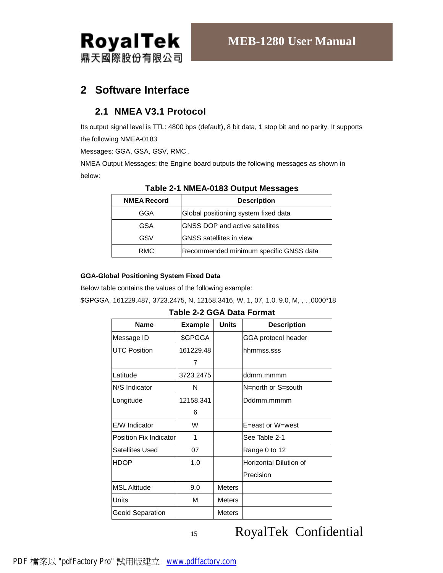

## **2 Software Interface**

## **2.1 NMEA V3.1 Protocol**

Its output signal level is TTL: 4800 bps (default), 8 bit data, 1 stop bit and no parity. It supports the following NMEA-0183

Messages: GGA, GSA, GSV, RMC .

NMEA Output Messages: the Engine board outputs the following messages as shown in below:

| <b>NMEA Record</b> | <b>Description</b>                     |
|--------------------|----------------------------------------|
| GGA                | Global positioning system fixed data   |
| GSA                | IGNSS DOP and active satellites        |
| GSV                | <b>GNSS</b> satellites in view         |
| RMC                | Recommended minimum specific GNSS data |

## **Table 2-1 NMEA-0183 Output Messages**

#### **GGA-Global Positioning System Fixed Data**

Below table contains the values of the following example:

\$GPGGA, 161229.487, 3723.2475, N, 12158.3416, W, 1, 07, 1.0, 9.0, M, , , ,0000\*18

**Table 2-2 GGA Data Format** 

| <b>Name</b>                   | <b>Example</b> | <b>Units</b>  | <b>Description</b>     |
|-------------------------------|----------------|---------------|------------------------|
| Message ID                    | \$GPGGA        |               | GGA protocol header    |
| <b>UTC Position</b>           | 161229.48      |               | hhmmss.sss             |
|                               | 7              |               |                        |
| Latitude                      | 3723.2475      |               | ddmm.mmmm              |
| N/S Indicator                 | N              |               | N=north or S=south     |
| Longitude                     | 12158.341      |               | Dddmm.mmmm             |
|                               | 6              |               |                        |
| E/W Indicator                 | W              |               | E=east or W=west       |
| <b>Position Fix Indicator</b> | 1              |               | See Table 2-1          |
| Satellites Used               | 07             |               | Range 0 to 12          |
| <b>HDOP</b>                   | 1.0            |               | Horizontal Dilution of |
|                               |                |               | Precision              |
| <b>MSL Altitude</b>           | 9.0            | <b>Meters</b> |                        |
| Units                         | м              | <b>Meters</b> |                        |
| Geoid Separation              |                | <b>Meters</b> |                        |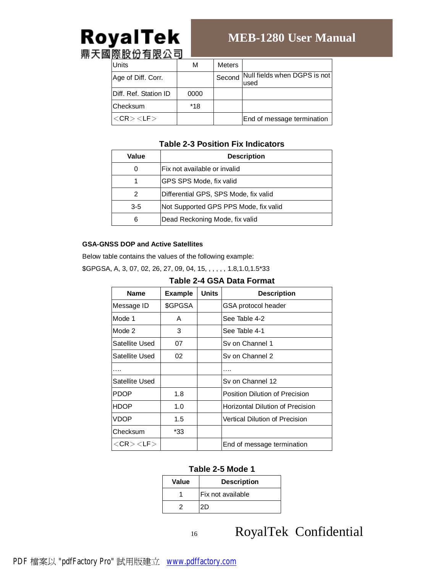# RoyalTek

# **MEB-1280 User Manual**

鼎天國際股份有限公司

| .<br>Units            | м    | Meters |                                      |
|-----------------------|------|--------|--------------------------------------|
| Age of Diff. Corr.    |      | Second | Null fields when DGPS is not<br>used |
| Diff. Ref. Station ID | 0000 |        |                                      |
| lChecksum             | *18  |        |                                      |
| $<$ CR $>$ $<$ LF $>$ |      |        | End of message termination           |

## **Table 2-3 Position Fix Indicators**

| Value   | <b>Description</b>                    |
|---------|---------------------------------------|
| 0       | lFix not available or invalid         |
|         | IGPS SPS Mode, fix valid              |
| 2       | Differential GPS, SPS Mode, fix valid |
| $3 - 5$ | Not Supported GPS PPS Mode, fix valid |
| 6       | Dead Reckoning Mode, fix valid        |

#### **GSA-GNSS DOP and Active Satellites**

Below table contains the values of the following example:

\$GPGSA, A, 3, 07, 02, 26, 27, 09, 04, 15, , , , , , 1.8,1.0,1.5\*33

| <b>Name</b>           | <b>Example</b> | <b>Units</b> | <b>Description</b>                      |  |  |
|-----------------------|----------------|--------------|-----------------------------------------|--|--|
| Message ID            | \$GPGSA        |              | GSA protocol header                     |  |  |
| Mode 1                | A              |              | See Table 4-2                           |  |  |
| Mode 2                | 3              |              | See Table 4-1                           |  |  |
| Satellite Used        | 07             |              | Sy on Channel 1                         |  |  |
| Satellite Used        | 02             |              | Sy on Channel 2                         |  |  |
|                       |                |              |                                         |  |  |
| Satellite Used        |                |              | Sv on Channel 12                        |  |  |
| <b>PDOP</b>           | 1.8            |              | Position Dilution of Precision          |  |  |
| <b>HDOP</b>           | 1.0            |              | <b>Horizontal Dilution of Precision</b> |  |  |
| VDOP                  | 1.5            |              | <b>Vertical Dilution of Precision</b>   |  |  |
| Checksum              | *33            |              |                                         |  |  |
| $<$ CR $>$ $<$ LF $>$ |                |              | End of message termination              |  |  |

### **Table 2-5 Mode 1**

| Value | <b>Description</b> |  |  |
|-------|--------------------|--|--|
|       | lFix not available |  |  |
|       | 2D                 |  |  |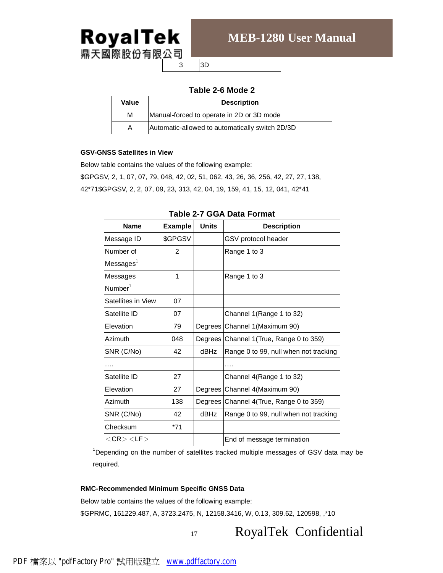

## **MEB-1280 User Manual**

3 3D

## **Table 2-6 Mode 2**

| Value | <b>Description</b>                              |
|-------|-------------------------------------------------|
| М     | Manual-forced to operate in 2D or 3D mode       |
| Α     | Automatic-allowed to automatically switch 2D/3D |

#### **GSV-GNSS Satellites in View**

Below table contains the values of the following example:

\$GPGSV, 2, 1, 07, 07, 79, 048, 42, 02, 51, 062, 43, 26, 36, 256, 42, 27, 27, 138, 42\*71\$GPGSV, 2, 2, 07, 09, 23, 313, 42, 04, 19, 159, 41, 15, 12, 041, 42\*41

| <b>Name</b>           | <b>Example</b> | Units | <b>Description</b>                       |
|-----------------------|----------------|-------|------------------------------------------|
| Message ID            | \$GPGSV        |       | GSV protocol header                      |
| Number of             | 2              |       | Range 1 to 3                             |
| Messages <sup>1</sup> |                |       |                                          |
| Messages              | 1              |       | Range 1 to 3                             |
| Number <sup>1</sup>   |                |       |                                          |
| Satellites in View    | 07             |       |                                          |
| Satellite ID          | 07             |       | Channel 1(Range 1 to 32)                 |
| Elevation             | 79             |       | Degrees Channel 1 (Maximum 90)           |
| Azimuth               | 048            |       | Degrees Channel 1 (True, Range 0 to 359) |
| SNR (C/No)            | 42             | dBHz  | Range 0 to 99, null when not tracking    |
|                       |                |       |                                          |
| Satellite ID          | 27             |       | Channel 4(Range 1 to 32)                 |
| Elevation             | 27             |       | Degrees Channel 4 (Maximum 90)           |
| Azimuth               | 138            |       | Degrees Channel 4 (True, Range 0 to 359) |
| SNR (C/No)            | 42             | dBHz  | Range 0 to 99, null when not tracking    |
| Checksum              | $*71$          |       |                                          |
| $<$ CR $>$ $<$ LF $>$ |                |       | End of message termination               |

#### **Table 2-7 GGA Data Format**

<sup>1</sup>Depending on the number of satellites tracked multiple messages of GSV data may be required.

#### **RMC-Recommended Minimum Specific GNSS Data**

Below table contains the values of the following example:

\$GPRMC, 161229.487, A, 3723.2475, N, 12158.3416, W, 0.13, 309.62, 120598, ,\*10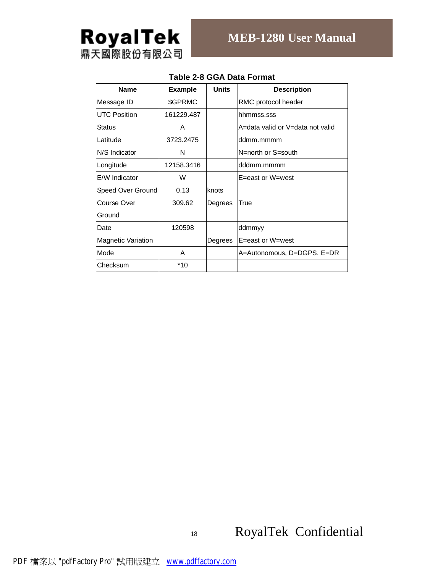

| <b>Name</b>               | <b>Example</b> | <b>Units</b> | <b>Description</b>               |
|---------------------------|----------------|--------------|----------------------------------|
| Message ID                | \$GPRMC        |              | RMC protocol header              |
| <b>UTC Position</b>       | 161229.487     |              | hhmmss.sss                       |
| Status                    | A              |              | A=data valid or V=data not valid |
| Latitude                  | 3723.2475      |              | ddmm.mmmm                        |
| N/S Indicator             | N              |              | N=north or S=south               |
| Longitude                 | 12158.3416     |              | dddmm.mmmm                       |
| E/W Indicator             | W              |              | E=east or W=west                 |
| Speed Over Ground         | 0.13           | knots        |                                  |
| Course Over               | 309.62         | Degrees      | True                             |
| Ground                    |                |              |                                  |
| Date                      | 120598         |              | ddmmyy                           |
| <b>Magnetic Variation</b> |                | Degrees      | E=east or W=west                 |
| Mode                      | A              |              | A=Autonomous, D=DGPS, E=DR       |
| Checksum                  | $*10$          |              |                                  |

## **Table 2-8 GGA Data Format**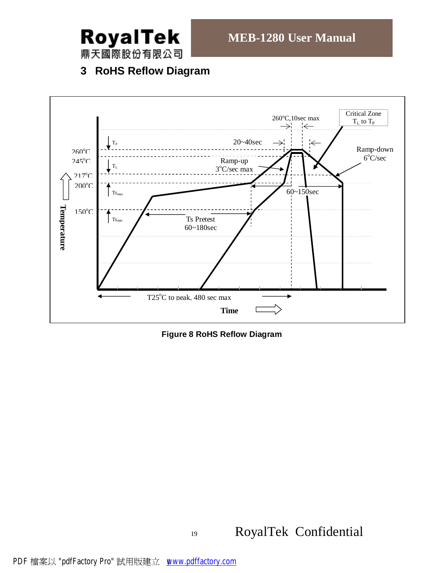

鼎天國際股份有限公司

## **3 RoHS Reflow Diagram**



**Figure 8 RoHS Reflow Diagram**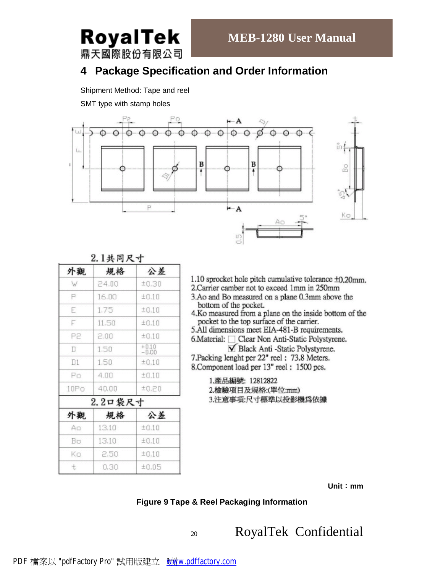鼎天國際股份有限公司

RoyalTek

## **4 Package Specification and Order Information**

Shipment Method: Tape and reel

SMT type with stamp holes



| 外觀   | 規格             | 公差                 |
|------|----------------|--------------------|
| W    | 24.00          | ±0.30              |
| P    | 16.00          | ±0.10              |
| E    | 1.75           | ±0.10              |
| F    | 11.50          | ±0.10              |
| .P2  | 2.00           | ±0.10              |
| П    | 1.50           | $^{+0.10}_{-0.00}$ |
| D1   | 1.50           | ±0.10              |
| Ρo   | 4.00           | ±0.10              |
| 10Po | 40.00          | ±0.20              |
|      | 2.2口袋尺寸        |                    |
| 外觀   | 規格             | 公差                 |
| Aa   | 13.10          | ±0.10              |
| Bσ   | 13.10<br>±0.10 |                    |
| Κo   | 2,50           | ±0.10              |

 $0.30$ 

 $±0.05$ 

 $\ddot{t}$ 

|  |  | 2.1共同尺寸 |  |
|--|--|---------|--|
|  |  |         |  |

1.10 sprocket hole pitch cumulative tolerance  $\pm 0.20$ mm.

2. Carrier camber not to exceed 1mm in 250mm

- 3.Ao and Bo measured on a plane 0.3mm above the bottom of the pocket.
- 4.Ko measured from a plane on the inside bottom of the pocket to the top surface of the carrier.

5.All dimensions meet EIA-481-B requirements.

6. Material: □ Clear Non Anti-Static Polystyrene.

√ Black Anti -Static Polystyrene. 7. Packing lenght per 22" reel: 73.8 Meters.

8. Component load per 13" reel: 1500 pcs.

1.產品編號: 12812822 2.檢驗項目及規格:(單位:mm) 3.注意事項:尺寸標準以投影機爲依據

**Unit**:**mm**

## **Figure 9 Tape & Reel Packaging Information**